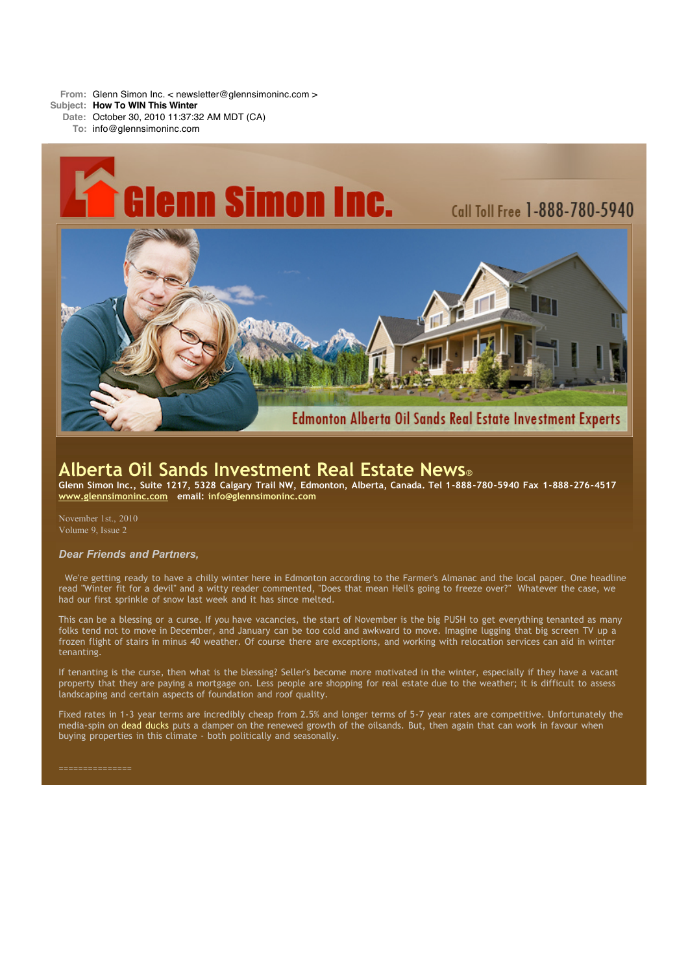**From:** Glenn Simon Inc. < newsletter@glennsimoninc.com >

- **Subject: How To WIN This Winter**
	- **Date:** October 30, 2010 11:37:32 AM MDT (CA)
		- **To:** info@glennsimoninc.com



# **Alberta Oil Sands Investment Real Estate News**®

Glenn Simon Inc., Suite 1217, 5328 Calgary Trail NW, Edmonton, Alberta, Canada. Tel 1-888-780-5940 Fax 1-888-276-4517 **[www.glennsimoninc.com](http://www.glennsimoninc.com/) email: [info@glennsimoninc.com](mailto:info@glennsimoninc.com)**

November 1st., 2010 Volume 9, Issue 2

### *Dear Friends and Partners,*

We're getting ready to have a chilly winter here in Edmonton according to the Farmer's Almanac and the local paper. One headline read "Winter fit for a devil" and a witty reader commented, "Does that mean Hell's going to freeze over?" Whatever the case, we had our first sprinkle of snow last week and it has since melted.

This can be a blessing or a curse. If you have vacancies, the start of November is the big PUSH to get everything tenanted as many folks tend not to move in December, and January can be too cold and awkward to move. Imagine lugging that big screen TV up a frozen flight of stairs in minus 40 weather. Of course there are exceptions, and working with relocation services can aid in winter tenanting.

If tenanting is the curse, then what is the blessing? Seller's become more motivated in the winter, especially if they have a vacant property that they are paying a mortgage on. Less people are shopping for real estate due to the weather; it is difficult to assess landscaping and certain aspects of foundation and roof quality.

Fixed rates in 1-3 year terms are incredibly cheap from 2.5% and longer terms of 5-7 year rates are competitive. Unfortunately the media-spin on dead [ducks](http://www.canada.com/Duck+deaths+case+timing/3747523/story.html) puts a damper on the renewed growth of the oilsands. But, then again that can work in favour when buying properties in this climate - both politically and seasonally.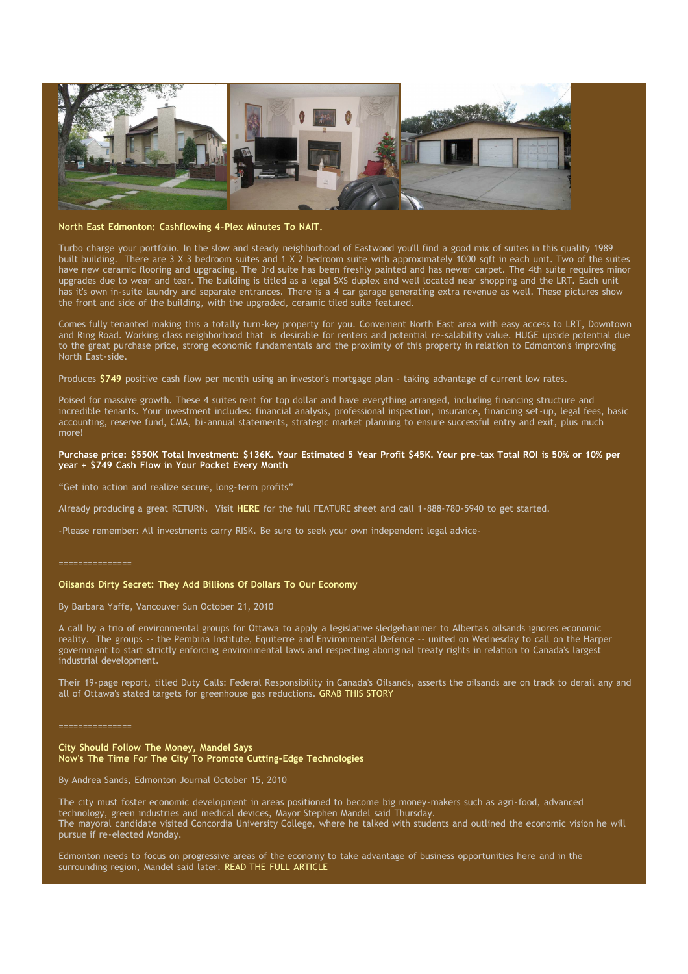

#### **North East Edmonton: [Cashflowing](http://www.glennsimoninc.com/featured_detail.php?id=76) 4-Plex Minutes To NAIT.**

Turbo charge your portfolio. In the slow and steady neighborhood of Eastwood you'll find a good mix of suites in this quality 1989 built building. There are 3 X 3 bedroom suites and 1 X 2 bedroom suite with approximately 1000 sqft in each unit. Two of the suites have new ceramic flooring and upgrading. The 3rd suite has been freshly painted and has newer carpet. The 4th suite requires minor upgrades due to wear and tear. The building is titled as a legal SXS duplex and well located near shopping and the LRT. Each unit has it's own in-suite laundry and separate entrances. There is a 4 car garage generating extra revenue as well. These pictures show the front and side of the building, with the upgraded, ceramic tiled suite featured.

Comes fully tenanted making this a totally turn-key property for you. Convenient North East area with easy access to LRT, Downtown and Ring Road. Working class neighborhood that is desirable for renters and potential re-salability value. HUGE upside potential due to the great purchase price, strong economic fundamentals and the proximity of this property in relation to Edmonton's improving North East-side.

Produces **[\\$749](http://www.glennsimoninc.com/featured_detail.php?id=76)** positive cash flow per month using an investor's mortgage plan - taking advantage of current low rates.

Poised for massive growth. These 4 suites rent for top dollar and have everything arranged, including financing structure and incredible tenants. Your investment includes: financial analysis, professional inspection, insurance, financing set-up, legal fees, basic accounting, reserve fund, CMA, bi-annual statements, strategic market planning to ensure successful entry and exit, plus much more!

### Purchase price: \$550K Total [Investment:](http://www.glennsimoninc.com/featured_detail.php?id=76) \$136K. Your Estimated 5 Year Profit \$45K. Your pre-tax Total ROI is 50% or 10% per **year + \$749 Cash Flow in Your Pocket Every Month**

"Get into action and realize secure, long-term profits"

Already producing a great RETURN. Visit **[HERE](http://www.glennsimoninc.com/featured_detail.php?id=76)** for the full FEATURE sheet and call 1-888-780-5940 to get started.

-Please remember: All investments carry RISK. Be sure to seek your own independent legal advice-

#### ===============

### **Oilsands Dirty Secret: They Add Billions Of Dollars To Our Economy**

By Barbara Yaffe, Vancouver Sun October 21, 2010

A call by a trio of environmental groups for Ottawa to apply a legislative sledgehammer to Alberta's oilsands ignores economic reality. The groups -- the Pembina Institute, Equiterre and Environmental Defence -- united on Wednesday to call on the Harper government to start strictly enforcing environmental laws and respecting aboriginal treaty rights in relation to Canada's largest industrial development.

Their 19-page report, titled Duty Calls: Federal Responsibility in Canada's Oilsands, asserts the oilsands are on track to derail any and all of Ottawa's stated targets for greenhouse gas reductions. GRAB THIS [STORY](http://www.vancouversun.com/opinion/Oilsands+dirty+secret+they+billions+dollars+economy/3703920/story.html#ixzz13hvrSEuz)

#### ===============

**City Should Follow The Money, Mandel Says Now's The Time For The City To Promote Cutting-Edge Technologies**

By Andrea Sands, Edmonton Journal October 15, 2010

The city must foster economic development in areas positioned to become big money-makers such as agri-food, advanced technology, green industries and medical devices, Mayor Stephen Mandel said Thursday. The mayoral candidate visited Concordia University College, where he talked with students and outlined the economic vision he will pursue if re-elected Monday.

Edmonton needs to focus on progressive areas of the economy to take advantage of business opportunities here and in the surrounding region, Mandel said later. READ THE FULL [ARTICLE](http://www.edmontonjournal.com/business/City+should+follow+money+Mandel+says/3676068/story.html#ixzz13hvR8PxU)